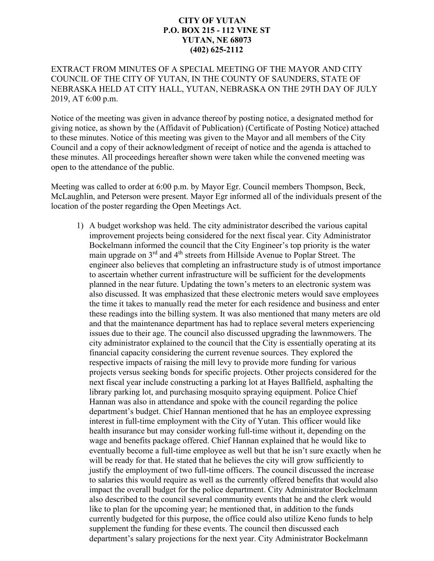## **CITY OF YUTAN P.O. BOX 215 - 112 VINE ST YUTAN, NE 68073 (402) 625-2112**

## EXTRACT FROM MINUTES OF A SPECIAL MEETING OF THE MAYOR AND CITY COUNCIL OF THE CITY OF YUTAN, IN THE COUNTY OF SAUNDERS, STATE OF NEBRASKA HELD AT CITY HALL, YUTAN, NEBRASKA ON THE 29TH DAY OF JULY 2019, AT 6:00 p.m.

Notice of the meeting was given in advance thereof by posting notice, a designated method for giving notice, as shown by the (Affidavit of Publication) (Certificate of Posting Notice) attached to these minutes. Notice of this meeting was given to the Mayor and all members of the City Council and a copy of their acknowledgment of receipt of notice and the agenda is attached to these minutes. All proceedings hereafter shown were taken while the convened meeting was open to the attendance of the public.

Meeting was called to order at 6:00 p.m. by Mayor Egr. Council members Thompson, Beck, McLaughlin, and Peterson were present. Mayor Egr informed all of the individuals present of the location of the poster regarding the Open Meetings Act.

1) A budget workshop was held. The city administrator described the various capital improvement projects being considered for the next fiscal year. City Administrator Bockelmann informed the council that the City Engineer's top priority is the water main upgrade on  $3<sup>rd</sup>$  and  $4<sup>th</sup>$  streets from Hillside Avenue to Poplar Street. The engineer also believes that completing an infrastructure study is of utmost importance to ascertain whether current infrastructure will be sufficient for the developments planned in the near future. Updating the town's meters to an electronic system was also discussed. It was emphasized that these electronic meters would save employees the time it takes to manually read the meter for each residence and business and enter these readings into the billing system. It was also mentioned that many meters are old and that the maintenance department has had to replace several meters experiencing issues due to their age. The council also discussed upgrading the lawnmowers. The city administrator explained to the council that the City is essentially operating at its financial capacity considering the current revenue sources. They explored the respective impacts of raising the mill levy to provide more funding for various projects versus seeking bonds for specific projects. Other projects considered for the next fiscal year include constructing a parking lot at Hayes Ballfield, asphalting the library parking lot, and purchasing mosquito spraying equipment. Police Chief Hannan was also in attendance and spoke with the council regarding the police department's budget. Chief Hannan mentioned that he has an employee expressing interest in full-time employment with the City of Yutan. This officer would like health insurance but may consider working full-time without it, depending on the wage and benefits package offered. Chief Hannan explained that he would like to eventually become a full-time employee as well but that he isn't sure exactly when he will be ready for that. He stated that he believes the city will grow sufficiently to justify the employment of two full-time officers. The council discussed the increase to salaries this would require as well as the currently offered benefits that would also impact the overall budget for the police department. City Administrator Bockelmann also described to the council several community events that he and the clerk would like to plan for the upcoming year; he mentioned that, in addition to the funds currently budgeted for this purpose, the office could also utilize Keno funds to help supplement the funding for these events. The council then discussed each department's salary projections for the next year. City Administrator Bockelmann